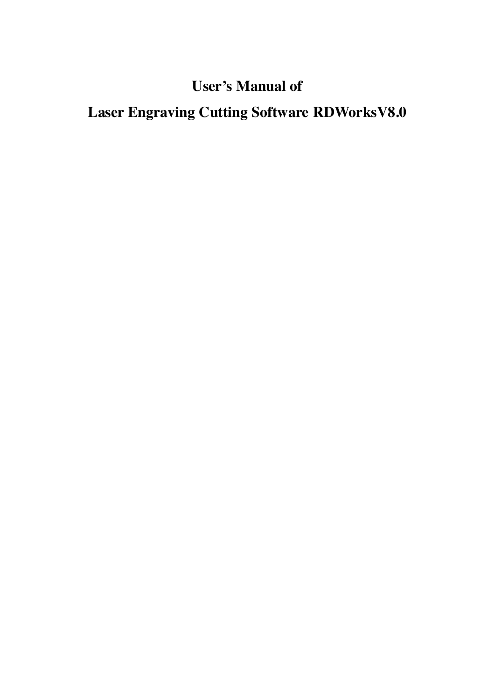## **User's Manual of**

# **Laser Engraving Cutting Software RDWorksV8.0**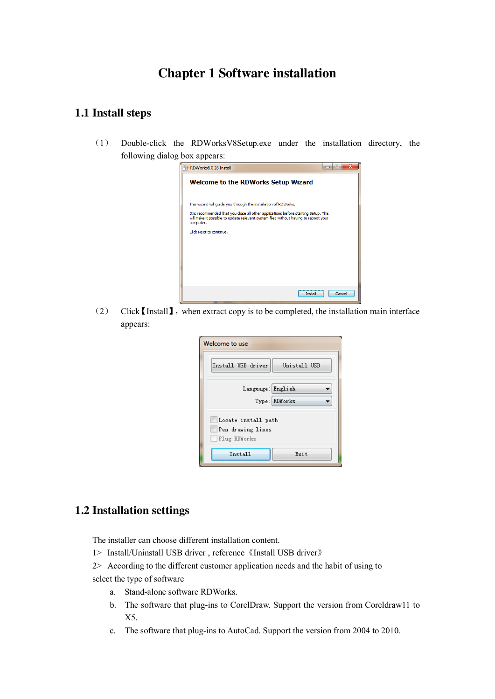## **Chapter 1 Software installation**

#### **1.1 Install steps**

(1) Double-click the RDWorksV8Setup.exe under the installation directory, the following dialog box appears:



(2) Click【Install】,when extract copy is to be completed, the installation main interface appears:

| Welcome to use                                           |
|----------------------------------------------------------|
| Install USB driver<br>Unistall USB                       |
| Language: English<br>Type: RDWorks                       |
| Locate install path<br>Pen drawing lines<br>Plug RDWorks |
| Install<br>Exit                                          |

#### **1.2 Installation settings**

The installer can choose different installation content.

- 1> Install/Uninstall USB driver , reference《Install USB driver》
- 2> According to the different customer application needs and the habit of using to
- select the type of software
	- a. Stand-alone software RDWorks.
	- b. The software that plug-ins to CorelDraw. Support the version from Coreldraw11 to X5.
	- c. The software that plug-ins to AutoCad. Support the version from 2004 to 2010.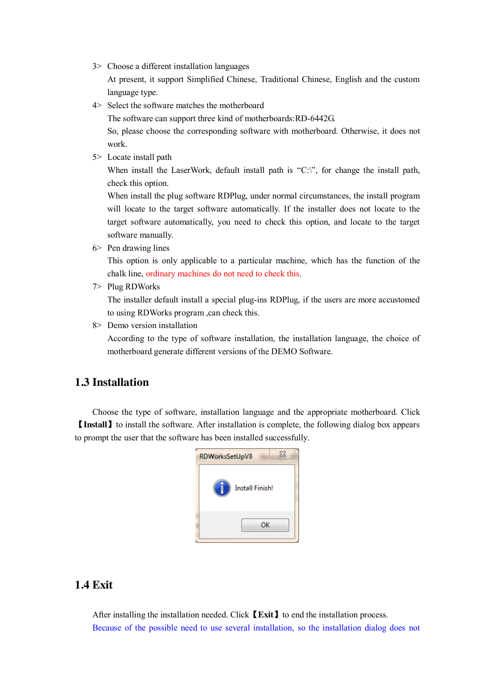3> Choose a different installation languages

At present, it support Simplified Chinese, Traditional Chinese, English and the custom language type.

4> Select the software matches the motherboard

The software can support three kind of motherboards:RD-6442G.

So, please choose the corresponding software with motherboard. Otherwise, it does not work.

5> Locate install path

When install the LaserWork, default install path is "C:\", for change the install path, check this option.

When install the plug software RDPlug, under normal circumstances, the install program will locate to the target software automatically. If the installer does not locate to the target software automatically, you need to check this option, and locate to the target software manually.

6> Pen drawing lines

This option is only applicable to a particular machine, which has the function of the chalk line, ordinary machines do not need to check this.

7> Plug RDWorks

The installer default install a special plug-ins RDPlug, if the users are more accustomed to using RDWorks program ,can check this.

8> Demo version installation

According to the type of software installation, the installation language, the choice of motherboard generate different versions of the DEMO Software.

#### **1.3 Installation**

Choose the type of software, installation language and the appropriate motherboard. Click 【**Install**】to install the software. After installation is complete, the following dialog box appears to prompt the user that the software has been installed successfully.



#### **1.4 Exit**

After installing the installation needed. Click **[Exit]** to end the installation process. Because of the possible need to use several installation, so the installation dialog does not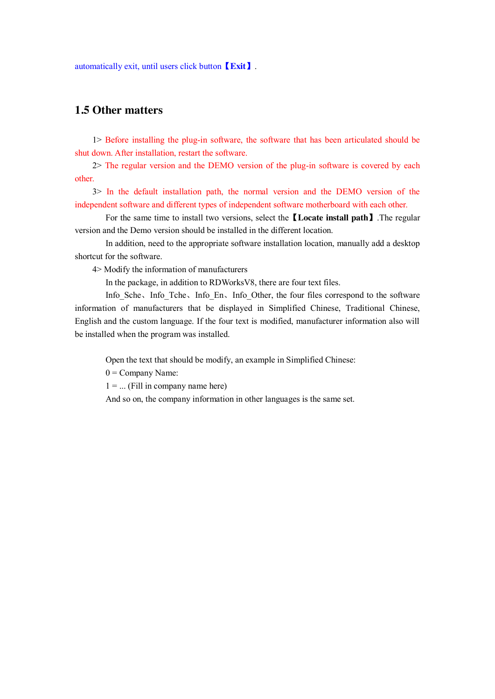automatically exit, until users click button【**Exit**】.

#### **1.5 Other matters**

1> Before installing the plug-in software, the software that has been articulated should be shut down. After installation, restart the software.

2> The regular version and the DEMO version of the plug-in software is covered by each other.

3> In the default installation path, the normal version and the DEMO version of the independent software and different types of independent software motherboard with each other.

 For the same time to install two versions, select the【**Locate install path**】.The regular version and the Demo version should be installed in the different location.

 In addition, need to the appropriate software installation location, manually add a desktop shortcut for the software.

4> Modify the information of manufacturers

In the package, in addition to RDWorksV8, there are four text files.

Info\_Sche、Info\_Tche、Info\_En、Info\_Other, the four files correspond to the software information of manufacturers that be displayed in Simplified Chinese, Traditional Chinese, English and the custom language. If the four text is modified, manufacturer information also will be installed when the program was installed.

Open the text that should be modify, an example in Simplified Chinese:

 $0 =$  Company Name:

 $1 = ...$  (Fill in company name here)

And so on, the company information in other languages is the same set.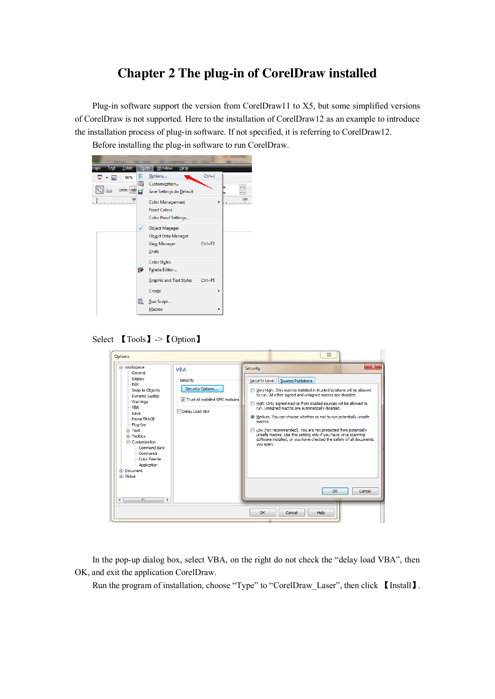## **Chapter 2 The plug-in of CorelDraw installed**

Plug-in software support the version from CorelDraw11 to X5, but some simplified versions of CorelDraw is not supported. Here to the installation of CorelDraw12 as an example to introduce the installation process of plug-in software. If not specified, it is referring to CorelDraw12.



Select 【Tools】->【Option】

| Options                                                                                                                                                                                                                                                                                                                             |                                                                                                 |                                                    |                                                                                                                                                                                                                                                                                                                                                                                                                                                                                                                                                                                     | $\Sigma$ |                        |
|-------------------------------------------------------------------------------------------------------------------------------------------------------------------------------------------------------------------------------------------------------------------------------------------------------------------------------------|-------------------------------------------------------------------------------------------------|----------------------------------------------------|-------------------------------------------------------------------------------------------------------------------------------------------------------------------------------------------------------------------------------------------------------------------------------------------------------------------------------------------------------------------------------------------------------------------------------------------------------------------------------------------------------------------------------------------------------------------------------------|----------|------------------------|
| □ Workspace<br>General<br><b>Display</b><br>- Fdit<br>-Snap to Objects<br>-- Dynamic Guides<br>- Warnings<br>- VBA<br>-Save<br>-- PowerTRACE<br>- Plug-Ins<br>F Text<br>F Toolbox<br><b>E</b> -Customization<br>Command Bars<br>- Commands<br>Color Palette<br>Application<br><b>E-Document</b><br>F Global<br>m.<br>$\overline{a}$ | <b>VBA</b><br>Security<br>Security Options<br>Trust all installed GMS modules<br>Delay Load VBA | Security<br>Security Level<br>macros.<br>vou open. | <b>Trusted Publishers</b><br>Very High. Only macros installed in trusted locations will be allowed<br>to run. All other signed and unsigned macros are disabled.<br>High. Only signed macros from trusted sources will be allowed to<br>run. Unsigned macros are automatically disabled.<br><sup>O</sup> Medium. You can choose whether or not to run potentially unsafe<br>Low (not recommended). You are not protected from potentially<br>unsafe macros. Use this setting only if you have virus scanning<br>software installed, or you have checked the safety of all documents | OK       | $\mathbf{x}$<br>Cancel |
|                                                                                                                                                                                                                                                                                                                                     |                                                                                                 | OK                                                 | Help<br>Cancel                                                                                                                                                                                                                                                                                                                                                                                                                                                                                                                                                                      |          |                        |

In the pop-up dialog box, select VBA, on the right do not check the "delay load VBA", then OK, and exit the application CorelDraw.

Run the program of installation, choose "Type" to "CorelDraw Laser", then click 【Install】.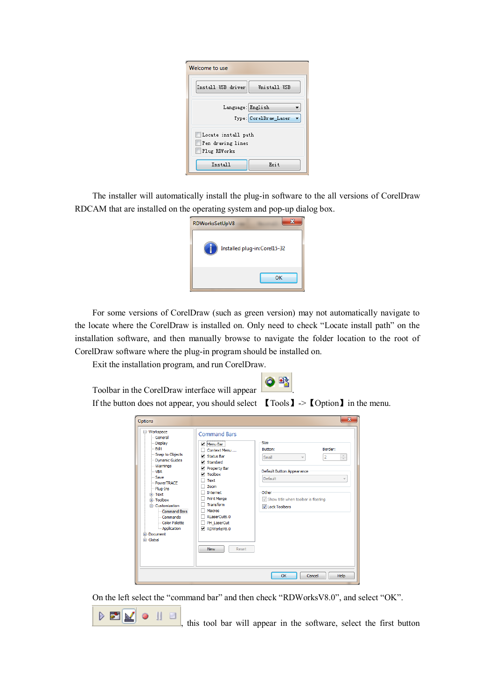| Welcome to use                                           |  |  |  |
|----------------------------------------------------------|--|--|--|
| Install USB driver<br>Unistall USB                       |  |  |  |
| Language: English<br>Type: CorelDraw Laser               |  |  |  |
| Locate install path<br>Pen drawing lines<br>Plug RDWorks |  |  |  |
| Exit<br>Install                                          |  |  |  |

The installer will automatically install the plug-in software to the all versions of CorelDraw RDCAM that are installed on the operating system and pop-up dialog box.



For some versions of CorelDraw (such as green version) may not automatically navigate to the locate where the CorelDraw is installed on. Only need to check "Locate install path" on the installation software, and then manually browse to navigate the folder location to the root of CorelDraw software where the plug-in program should be installed on.

Exit the installation program, and run CorelDraw.



If the button does not appear, you should select  $\Box$  Tools  $\Box$  ->  $\Box$  Option  $\Box$  in the menu.

| Options                                                                                                                                                                                                                                                                                                   |                                                                                                                                                                                                                                                                                                    | $\mathbf{x}$                                                                                                                                                                              |
|-----------------------------------------------------------------------------------------------------------------------------------------------------------------------------------------------------------------------------------------------------------------------------------------------------------|----------------------------------------------------------------------------------------------------------------------------------------------------------------------------------------------------------------------------------------------------------------------------------------------------|-------------------------------------------------------------------------------------------------------------------------------------------------------------------------------------------|
| □ Workspace<br>- General<br>- Display<br>- Fdit<br>Snap to Objects<br>- Dynamic Guides<br>- Warnings<br>- VBA<br>$-$ Save<br>PowerTRACE<br>-Plug-Ins<br>Fi-Text<br><b>E</b> -Toolbox<br>□ Customization<br>- Command Bars<br>Commands<br>Color Palette<br>- Application<br><b>E-Document</b><br>Fi-Global | <b>Command Bars</b><br>Menu Bar<br>Context Menu<br>$\triangledown$ Status Bar<br>$\nabla$ Standard<br>Property Bar<br>$\triangledown$ Toolbox<br>Text<br><b>Zoom</b><br>Internet<br><b>Print Merge</b><br>Transform<br>Macros<br>RLaserCut6.0<br>PH LaserCut<br>RDWorksV8.0<br><b>New</b><br>Reset | Size<br>Border:<br>Button:<br>$\frac{\Lambda}{\nu}$<br>$\overline{2}$<br>Small<br>Default Button Appearance<br>Default<br>Other<br>Show title when toolbar is floating<br>U Lock Toolbars |
|                                                                                                                                                                                                                                                                                                           |                                                                                                                                                                                                                                                                                                    | OK<br>Cancel<br>Help                                                                                                                                                                      |

On the left select the "command bar" and then check "RDWorksV8.0", and select "OK".



this tool bar will appear in the software, select the first button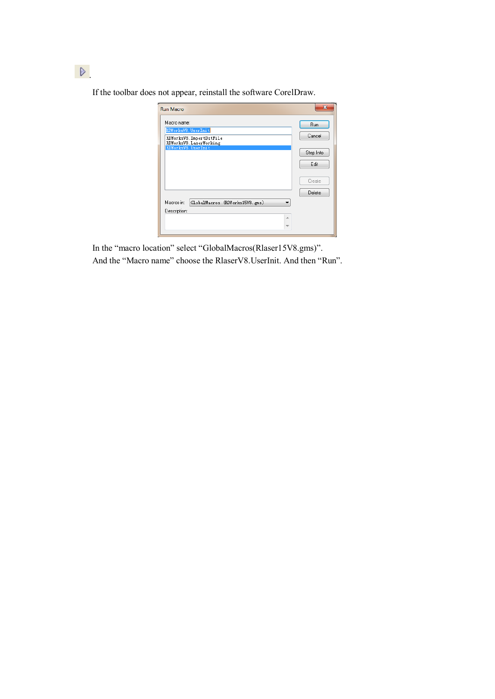If the toolbar does not appear, reinstall the software CorelDraw.

| <b>Run Macro</b>                                                                          | $\mathbf{x}$                          |
|-------------------------------------------------------------------------------------------|---------------------------------------|
| Macro name:<br>RDWorksV8. UserInit<br>RDWorksV8. ImportDstFile<br>RDWorksV8. LaserWorking | <b>Bun</b><br>Cancel                  |
| RDWorksV8. UserInit                                                                       | Step Into<br>Edit<br>Create<br>Delete |
| Macros in:<br>GlobalMacros (RDWorks15V8.gms)<br>Description:<br>土                         |                                       |

In the "macro location" select "GlobalMacros(Rlaser15V8.gms)". And the "Macro name" choose the RlaserV8.UserInit. And then "Run".

 $\triangleright$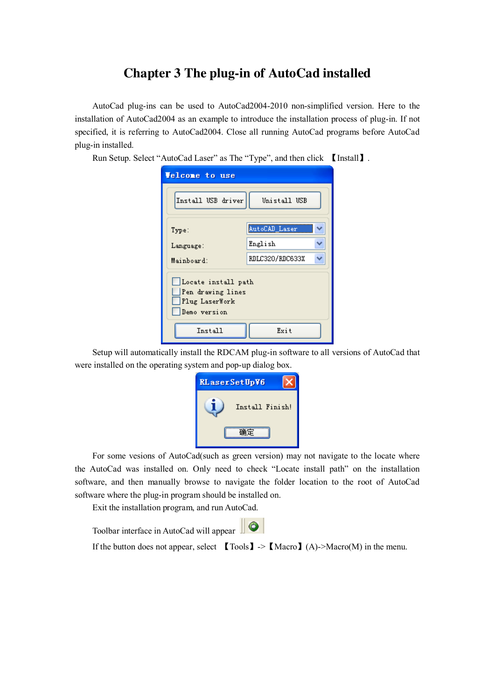### **Chapter 3 The plug-in of AutoCad installed**

AutoCad plug-ins can be used to AutoCad2004-2010 non-simplified version. Here to the installation of AutoCad2004 as an example to introduce the installation process of plug-in. If not specified, it is referring to AutoCad2004. Close all running AutoCad programs before AutoCad plug-in installed.

Run Setup. Select "AutoCad Laser" as The "Type", and then click 【Install】.

| <b>Velcome</b> to use                                                      |                 |  |  |  |
|----------------------------------------------------------------------------|-----------------|--|--|--|
| Install USB driver                                                         | Unistall USB    |  |  |  |
| Type:                                                                      | AutoCAD_Laser   |  |  |  |
| Language:                                                                  | English         |  |  |  |
| Mainboard:                                                                 | RDLC320/RDC633X |  |  |  |
| Locate install path<br>Pen drawing lines<br>Plug LaserWork<br>Demo version |                 |  |  |  |
| Install                                                                    | Exit            |  |  |  |

Setup will automatically install the RDCAM plug-in software to all versions of AutoCad that were installed on the operating system and pop-up dialog box.

| <b>RLaserSetUpV6</b> |  |
|----------------------|--|
| Install Finish!      |  |
|                      |  |

For some vesions of AutoCad(such as green version) may not navigate to the locate where the AutoCad was installed on. Only need to check "Locate install path" on the installation software, and then manually browse to navigate the folder location to the root of AutoCad software where the plug-in program should be installed on.

Exit the installation program, and run AutoCad.

Toolbar interface in AutoCad will appear

If the button does not appear, select  $\Box$  Tools  $\Box$   $\Box$   $\Diamond$  Macro $\Box$  (A)- $\Diamond$ Macro(M) in the menu.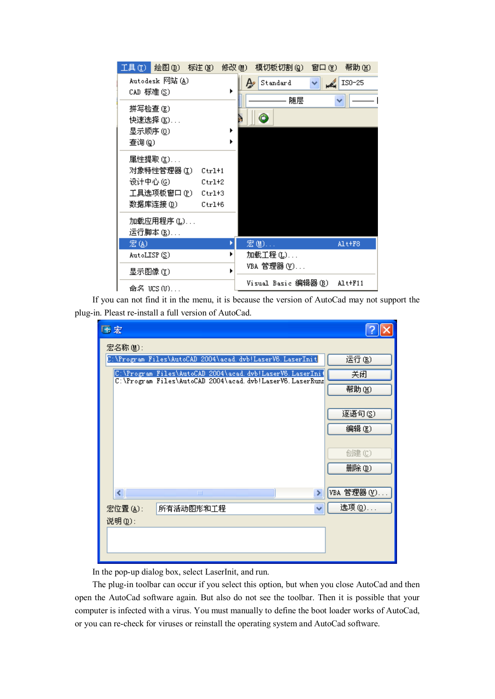| 工具(T) 绘图(D) 标注(M)                                                                                                                     | 修改 (M)<br>模切板切割 (g)<br>帮助(H)<br>窗口(\\)                            |
|---------------------------------------------------------------------------------------------------------------------------------------|-------------------------------------------------------------------|
| Autodesk 网站(A)<br>CAD 标准(S)                                                                                                           | $IS0-25$<br>$A\!\!\!\!\!\!\!/\,\varrho$ Standard<br>$\frac{2}{3}$ |
| 拼写检查 (E)<br>快速选择 (K).                                                                                                                 | 随层<br>۵                                                           |
| 显示顺序 (0)<br>查询(g)                                                                                                                     |                                                                   |
| 属性提取 (½)<br>对象特性管理器 (I)  Ctrl+1<br>设计中心 (6)<br>$Ctr1+2$<br>工具选项板窗口 (P)<br>$Ctr1+3$<br>数据库连接 (I)<br>$Ctr1+6$<br>加载应用程序 (L).<br>运行脚本(B) |                                                                   |
| 宏国                                                                                                                                    | 宏 MD<br>Alt+F8                                                    |
| AutoLISP(S)                                                                                                                           | 加载工程 ①.<br>VBA 管理器 ( <u>V</u> )                                   |
| 显示图像 (Y)<br>命名 UCS(U)                                                                                                                 | Visual Basic 编辑器(B)<br>A1t+F11                                    |

If you can not find it in the menu, it is because the version of AutoCad may not support the plug-in. Pleast re-install a full version of AutoCad.

| 藤宏                                                                                                                   |            |
|----------------------------------------------------------------------------------------------------------------------|------------|
| 宏名称(M):                                                                                                              |            |
| C:\Program Files\AutoCAD 2004\acad.dvb!LaserV6.LaserInit                                                             | 运行(B)      |
| C:\Program_Files\AutoCAD_2004\acad.dvb!LaserV6.LaserIni{<br>C:\Program_Files\AutoCAD_2004\acad.dvb!LaserV6.LaserRunn | 关闭         |
|                                                                                                                      | 帮助(H)      |
|                                                                                                                      |            |
|                                                                                                                      | 逐语句(S)     |
|                                                                                                                      | 编辑(E)      |
|                                                                                                                      |            |
|                                                                                                                      | 创建(C)      |
|                                                                                                                      | 删除(D)      |
| $\left\vert \left\langle \right\vert \right\vert$<br><b>TITL</b><br>>                                                | VBA 管理器(Y) |
| 宏位置(A):<br>所有活动图形和工程                                                                                                 | 选项 (0)     |
| 说明(D):                                                                                                               |            |
|                                                                                                                      |            |
|                                                                                                                      |            |
|                                                                                                                      |            |

In the pop-up dialog box, select LaserInit, and run.

The plug-in toolbar can occur if you select this option, but when you close AutoCad and then open the AutoCad software again. But also do not see the toolbar. Then it is possible that your computer is infected with a virus. You must manually to define the boot loader works of AutoCad, or you can re-check for viruses or reinstall the operating system and AutoCad software.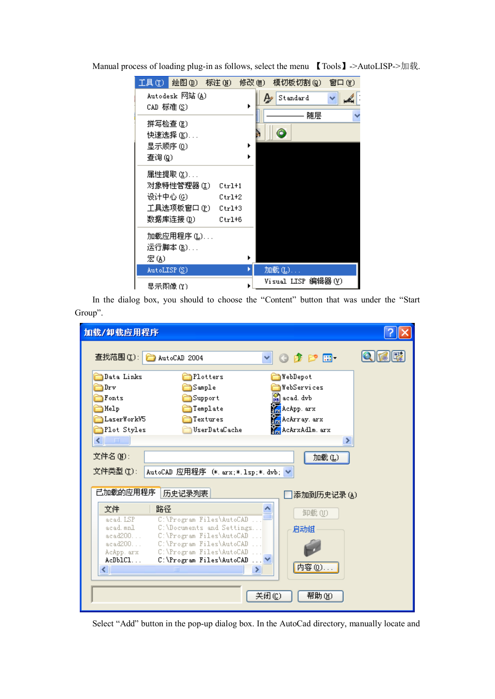|             | 工具 ①  绘图 ①) 标注 (N)  修改 (M) |          |   | 模切板切割 (g)          | 窗口(Y) |
|-------------|----------------------------|----------|---|--------------------|-------|
| CAD 标准(S)   | Autodesk 网站(A)             |          |   | Standard<br>₽      |       |
|             |                            |          |   | 随层                 |       |
| 拼写检查(E)     |                            |          |   |                    |       |
|             | 快速选择 (K).                  |          |   | ¢                  |       |
| 显示顺序 ①)     |                            |          | ▶ |                    |       |
| 查询(g)       |                            |          |   |                    |       |
|             | 属性提取 (½).                  |          |   |                    |       |
|             | 对象特性管理器 (I)                | $Ctr1+1$ |   |                    |       |
| 设计中心(6)     |                            | $Ctr1+2$ |   |                    |       |
|             | 工具选项板窗口 (P) Ctrl+3         |          |   |                    |       |
|             | 数据库连接 ⑪)                   | $Ctr1+6$ |   |                    |       |
|             | 加载应用程序 (L).                |          |   |                    |       |
|             | 运行脚本 (B)                   |          |   |                    |       |
| 宏国          |                            |          |   |                    |       |
| AutoLISP(S) |                            |          |   | 加载(L)              |       |
| 显示图像 (Y)    |                            |          |   | Visual LISP 编辑器(V) |       |

Manual process of loading plug-in as follows, select the menu 【Tools】->AutoLISP->加载.

In the dialog box, you should to choose the "Content" button that was under the "Start Group".

| 加载/卸载应用程序          |                                                      |                              |     |
|--------------------|------------------------------------------------------|------------------------------|-----|
|                    | 查找范围(I): 2004                                        | $0$ $0$ $0$ $10$             | IR. |
| Data Links         | Plotters                                             | WebDepot                     |     |
| $\exists$ Drv      | Sample                                               | WebServices                  |     |
| Fonts              | Support                                              | of acad. dvb                 |     |
| Help               | Template                                             | <b>Road</b> AcApp. arx       |     |
| LaserWorkV5        | Textures                                             | <b>Re</b> AcArray, arx       |     |
| Plot Styles        | UserDataCache                                        | <b>Reader</b> AcArxAdlm. arx |     |
| $\sim 100$         |                                                      | ⋗                            |     |
| 文件名 (N):           |                                                      | 加载(L)                        |     |
| 文件类型 ①):           | AutoCAD 应用程序 (*. arx;*. 1sp;*. dvb; v                |                              |     |
|                    |                                                      |                              |     |
| 已加载的应用程序           | 历史记录列表                                               | 添加到历史记录 (A)                  |     |
| 文件                 | 路径                                                   | 卸载(U)                        |     |
| acad. ISP          | C:\Program Files\AutoCAD                             |                              |     |
| acad.mnl           | C:\Documents and Settings                            | 启动组                          |     |
| acad200<br>acad200 | C:\Program Files\AutoCAD<br>C:\Program Files\AutoCAD |                              |     |
| AcApp. arx         | C:\Program Files\AutoCAD                             |                              |     |
| AcDb1C1            | C:\Program Files\AutoCAD  ∨                          |                              |     |
| ≺∣                 | III                                                  | 内容(0)                        |     |
|                    |                                                      |                              |     |
|                    |                                                      | 关闭(C)<br>帮助 (H)              |     |
|                    |                                                      |                              |     |

Select "Add" button in the pop-up dialog box. In the AutoCad directory, manually locate and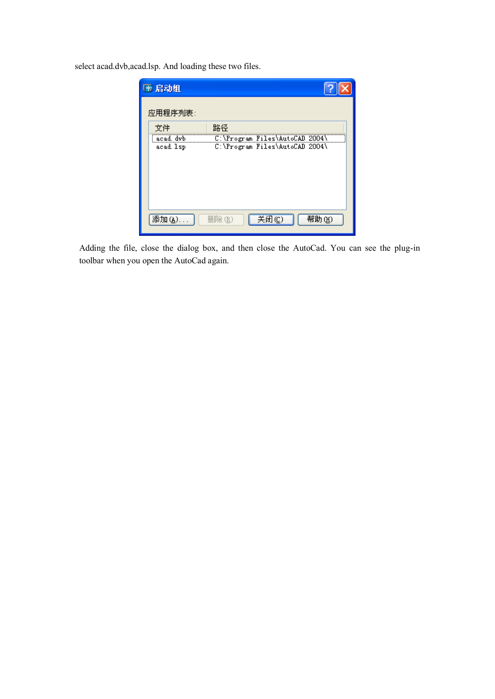select acad.dvb,acad.lsp. And loading these two files.

| 后动组                    |                                                                  |
|------------------------|------------------------------------------------------------------|
| 应用程序列表:                |                                                                  |
| 文件                     | 路径                                                               |
| acad. dvb<br>acad. 1sp | C:\Program Files\AutoCAD 2004\<br>C:\Program Files\AutoCAD 2004\ |
|                        |                                                                  |
|                        |                                                                  |
|                        |                                                                  |
|                        |                                                                  |
| 添加(A)                  | 关闭(C)<br>帮助(H)<br>删除(R)                                          |

Adding the file, close the dialog box, and then close the AutoCad. You can see the plug-in toolbar when you open the AutoCad again.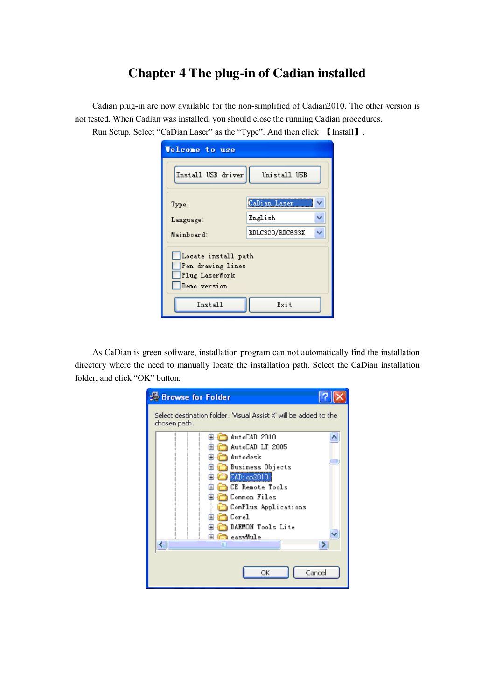## **Chapter 4 The plug-in of Cadian installed**

Cadian plug-in are now available for the non-simplified of Cadian2010. The other version is not tested. When Cadian was installed, you should close the running Cadian procedures.

Run Setup. Select "CaDian Laser" as the "Type". And then click 【Install】.

| <b>Velcome</b> to use                                                                         |                 |  |
|-----------------------------------------------------------------------------------------------|-----------------|--|
| Install USB driver                                                                            | Unistall USB    |  |
| Type:                                                                                         | CaDian Laser    |  |
| Language:                                                                                     | English         |  |
| Mainboard:                                                                                    | RDLC320/RDC633X |  |
| Locate install path<br>Pen drawing lines<br>Plug LaserWork<br>Demo version<br>Install<br>Exit |                 |  |

As CaDian is green software, installation program can not automatically find the installation directory where the need to manually locate the installation path. Select the CaDian installation folder, and click "OK" button.

| Browse for Folder                                                                 |
|-----------------------------------------------------------------------------------|
| Select destination folder. 'Visual Assist X' will be added to the<br>chosen path. |
| AutoCAD 2010                                                                      |
| AutoCAD LT 2005                                                                   |
| Autodesk                                                                          |
| Business Objects                                                                  |
| CADian2010<br>Œ                                                                   |
| <b>CE Remote Tools</b>                                                            |
| Common Files<br>Ŧ                                                                 |
| ComPlus Applications                                                              |
| Corel<br>Ŧ                                                                        |
| DAEMON Tools Lite                                                                 |
| easvMule<br>ШI                                                                    |
|                                                                                   |
| Cancel<br>ОК                                                                      |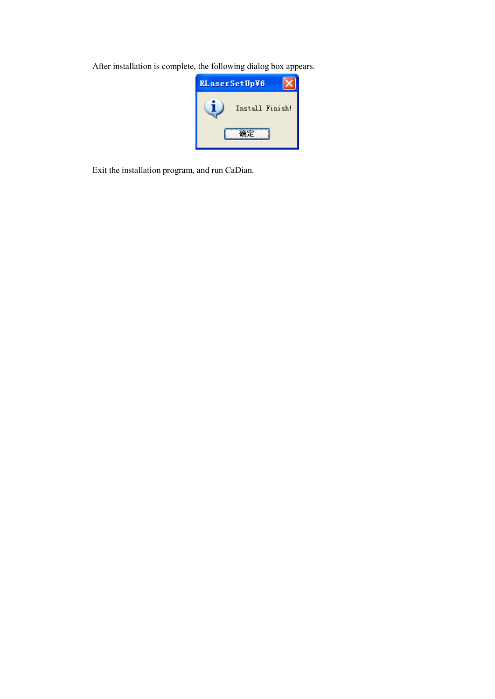After installation is complete, the following dialog box appears.

| <b>RLaserSetUpV6</b> |                 |
|----------------------|-----------------|
|                      | Install Finish! |
|                      |                 |

Exit the installation program, and run CaDian.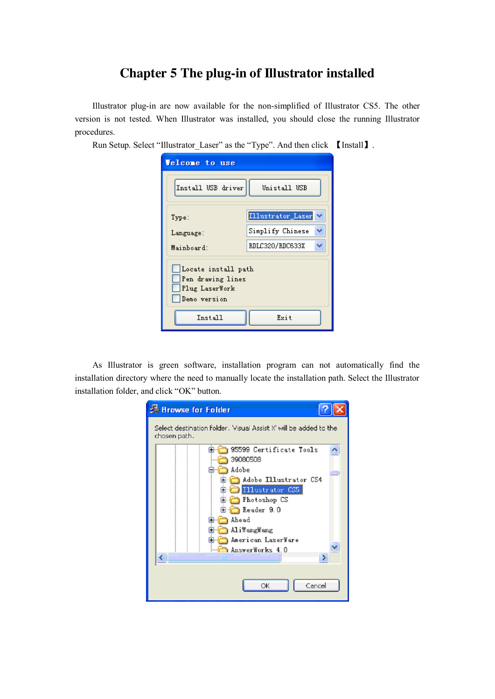## **Chapter 5 The plug-in of Illustrator installed**

Illustrator plug-in are now available for the non-simplified of Illustrator CS5. The other version is not tested. When Illustrator was installed, you should close the running Illustrator procedures.

Run Setup. Select "Illustrator\_Laser" as the "Type". And then click 【Install】.

| <b>Velcome to use</b>                                                      |                   |  |
|----------------------------------------------------------------------------|-------------------|--|
| Install USB driver                                                         | Unistall USB      |  |
| Type:                                                                      | Illustrator_Laser |  |
| Language:                                                                  | Simplify Chinese  |  |
| Mainboard:                                                                 | RDLC320/RDC633X   |  |
| Locate install path<br>Pen drawing lines<br>Plug LaserWork<br>Demo version |                   |  |
| Install                                                                    | Exit              |  |

As Illustrator is green software, installation program can not automatically find the installation directory where the need to manually locate the installation path. Select the Illustrator installation folder, and click "OK" button.

| <b>Browse for Folder</b>                                                          |
|-----------------------------------------------------------------------------------|
| Select destination folder. 'Visual Assist X' will be added to the<br>chosen path. |
| 95599 Certificate Tools                                                           |
| 39080508                                                                          |
| Adobe                                                                             |
| Adobe Illustrator CS4                                                             |
| Illustrator CS5                                                                   |
| Photoshop CS<br>Œ                                                                 |
| Reader 9.0                                                                        |
| Ahead<br>ш                                                                        |
| AliWangWang                                                                       |
| American LaserWare                                                                |
| AnswerWorks 4.0                                                                   |
|                                                                                   |
|                                                                                   |
| Cancel<br>OK                                                                      |